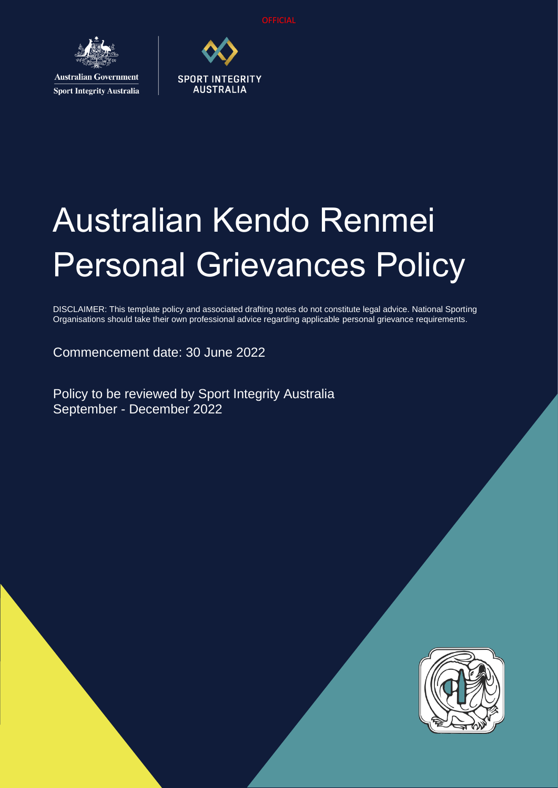

**Australian Government Sport Integrity Australia** 



# Australian Kendo Renmei Personal Grievances Policy

DISCLAIMER: This template policy and associated drafting notes do not constitute legal advice. National Sporting Organisations should take their own professional advice regarding applicable personal grievance requirements.

Commencement date: 30 June 2022

Policy to be reviewed by Sport Integrity Australia September - December 2022

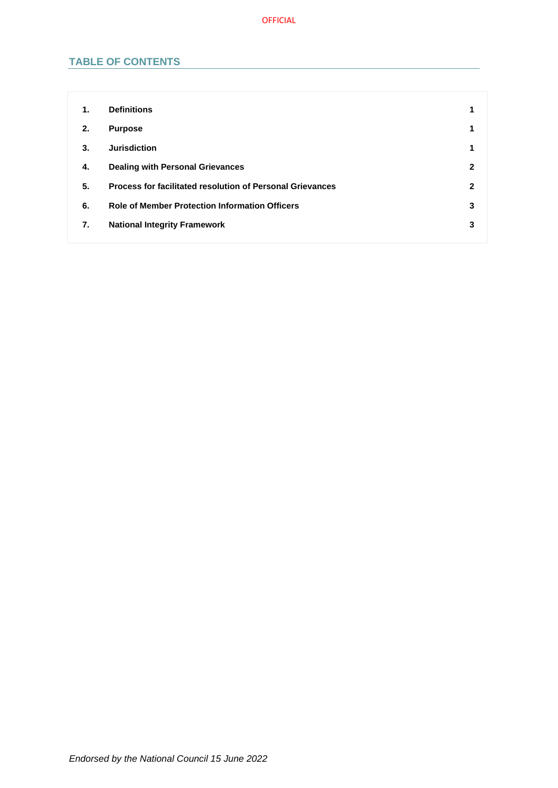## **TABLE OF CONTENTS**

| 1. | <b>Definitions</b>                                               | 1            |
|----|------------------------------------------------------------------|--------------|
| 2. | <b>Purpose</b>                                                   | 1            |
| 3. | <b>Jurisdiction</b>                                              | 1            |
| 4. | <b>Dealing with Personal Grievances</b>                          | $\mathbf{2}$ |
| 5. | <b>Process for facilitated resolution of Personal Grievances</b> | 2            |
| 6. | <b>Role of Member Protection Information Officers</b>            | 3            |
| 7. | <b>National Integrity Framework</b>                              | 3            |
|    |                                                                  |              |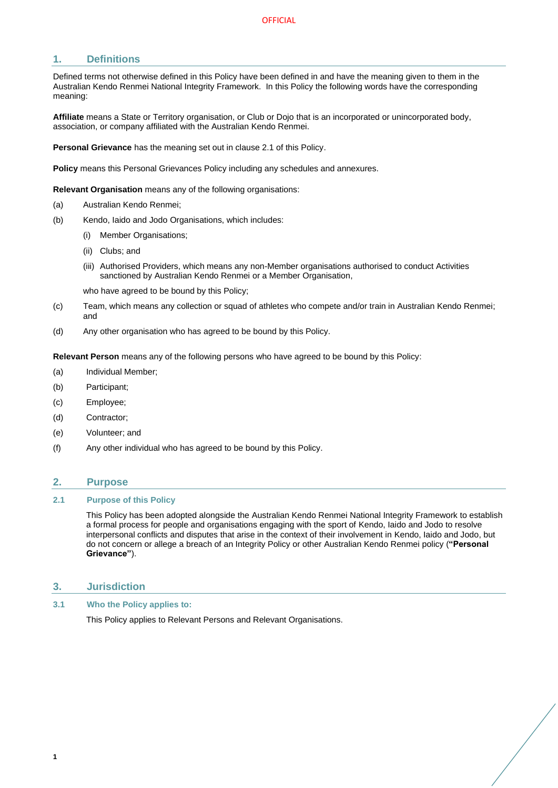## <span id="page-2-0"></span>**1. Definitions**

Defined terms not otherwise defined in this Policy have been defined in and have the meaning given to them in the Australian Kendo Renmei National Integrity Framework. In this Policy the following words have the corresponding meaning:

**Affiliate** means a State or Territory organisation, or Club or Dojo that is an incorporated or unincorporated body, association, or company affiliated with the Australian Kendo Renmei.

**Personal Grievance** has the meaning set out in clause 2.1 of this Policy.

**Policy** means this Personal Grievances Policy including any schedules and annexures.

**Relevant Organisation** means any of the following organisations:

- (a) Australian Kendo Renmei;
- (b) Kendo, Iaido and Jodo Organisations, which includes:
	- (i) Member Organisations;
	- (ii) Clubs; and
	- (iii) Authorised Providers, which means any non-Member organisations authorised to conduct Activities sanctioned by Australian Kendo Renmei or a Member Organisation,

who have agreed to be bound by this Policy;

- (c) Team, which means any collection or squad of athletes who compete and/or train in Australian Kendo Renmei; and
- (d) Any other organisation who has agreed to be bound by this Policy.

**Relevant Person** means any of the following persons who have agreed to be bound by this Policy:

- (a) Individual Member;
- (b) Participant;
- (c) Employee;
- (d) Contractor;
- (e) Volunteer; and
- (f) Any other individual who has agreed to be bound by this Policy.

#### <span id="page-2-1"></span>**2. Purpose**

#### **2.1 Purpose of this Policy**

This Policy has been adopted alongside the Australian Kendo Renmei National Integrity Framework to establish a formal process for people and organisations engaging with the sport of Kendo, Iaido and Jodo to resolve interpersonal conflicts and disputes that arise in the context of their involvement in Kendo, Iaido and Jodo, but do not concern or allege a breach of an Integrity Policy or other Australian Kendo Renmei policy (**"Personal Grievance"**).

#### <span id="page-2-2"></span>**3. Jurisdiction**

**3.1 Who the Policy applies to:**

This Policy applies to Relevant Persons and Relevant Organisations.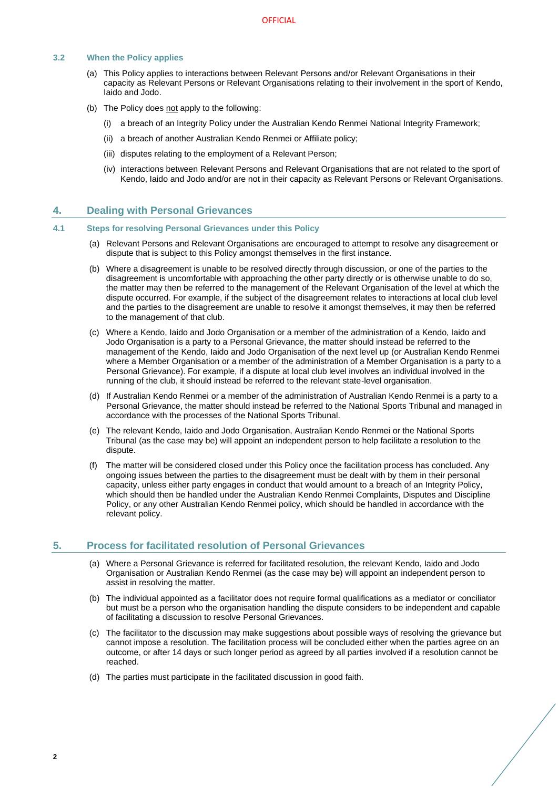#### **3.2 When the Policy applies**

- (a) This Policy applies to interactions between Relevant Persons and/or Relevant Organisations in their capacity as Relevant Persons or Relevant Organisations relating to their involvement in the sport of Kendo, Iaido and Jodo.
- (b) The Policy does not apply to the following:
	- (i) a breach of an Integrity Policy under the Australian Kendo Renmei National Integrity Framework;
	- (ii) a breach of another Australian Kendo Renmei or Affiliate policy;
	- (iii) disputes relating to the employment of a Relevant Person;
	- (iv) interactions between Relevant Persons and Relevant Organisations that are not related to the sport of Kendo, Iaido and Jodo and/or are not in their capacity as Relevant Persons or Relevant Organisations.

### <span id="page-3-0"></span>**4. Dealing with Personal Grievances**

#### **4.1 Steps for resolving Personal Grievances under this Policy**

- (a) Relevant Persons and Relevant Organisations are encouraged to attempt to resolve any disagreement or dispute that is subject to this Policy amongst themselves in the first instance.
- (b) Where a disagreement is unable to be resolved directly through discussion, or one of the parties to the disagreement is uncomfortable with approaching the other party directly or is otherwise unable to do so, the matter may then be referred to the management of the Relevant Organisation of the level at which the dispute occurred. For example, if the subject of the disagreement relates to interactions at local club level and the parties to the disagreement are unable to resolve it amongst themselves, it may then be referred to the management of that club.
- (c) Where a Kendo, Iaido and Jodo Organisation or a member of the administration of a Kendo, Iaido and Jodo Organisation is a party to a Personal Grievance, the matter should instead be referred to the management of the Kendo, Iaido and Jodo Organisation of the next level up (or Australian Kendo Renmei where a Member Organisation or a member of the administration of a Member Organisation is a party to a Personal Grievance). For example, if a dispute at local club level involves an individual involved in the running of the club, it should instead be referred to the relevant state-level organisation.
- (d) If Australian Kendo Renmei or a member of the administration of Australian Kendo Renmei is a party to a Personal Grievance, the matter should instead be referred to the National Sports Tribunal and managed in accordance with the processes of the National Sports Tribunal.
- (e) The relevant Kendo, Iaido and Jodo Organisation, Australian Kendo Renmei or the National Sports Tribunal (as the case may be) will appoint an independent person to help facilitate a resolution to the dispute.
- (f) The matter will be considered closed under this Policy once the facilitation process has concluded. Any ongoing issues between the parties to the disagreement must be dealt with by them in their personal capacity, unless either party engages in conduct that would amount to a breach of an Integrity Policy, which should then be handled under the Australian Kendo Renmei Complaints, Disputes and Discipline Policy, or any other Australian Kendo Renmei policy, which should be handled in accordance with the relevant policy.

#### <span id="page-3-1"></span>**5. Process for facilitated resolution of Personal Grievances**

- (a) Where a Personal Grievance is referred for facilitated resolution, the relevant Kendo, Iaido and Jodo Organisation or Australian Kendo Renmei (as the case may be) will appoint an independent person to assist in resolving the matter.
- (b) The individual appointed as a facilitator does not require formal qualifications as a mediator or conciliator but must be a person who the organisation handling the dispute considers to be independent and capable of facilitating a discussion to resolve Personal Grievances.
- (c) The facilitator to the discussion may make suggestions about possible ways of resolving the grievance but cannot impose a resolution. The facilitation process will be concluded either when the parties agree on an outcome, or after 14 days or such longer period as agreed by all parties involved if a resolution cannot be reached.
- (d) The parties must participate in the facilitated discussion in good faith.